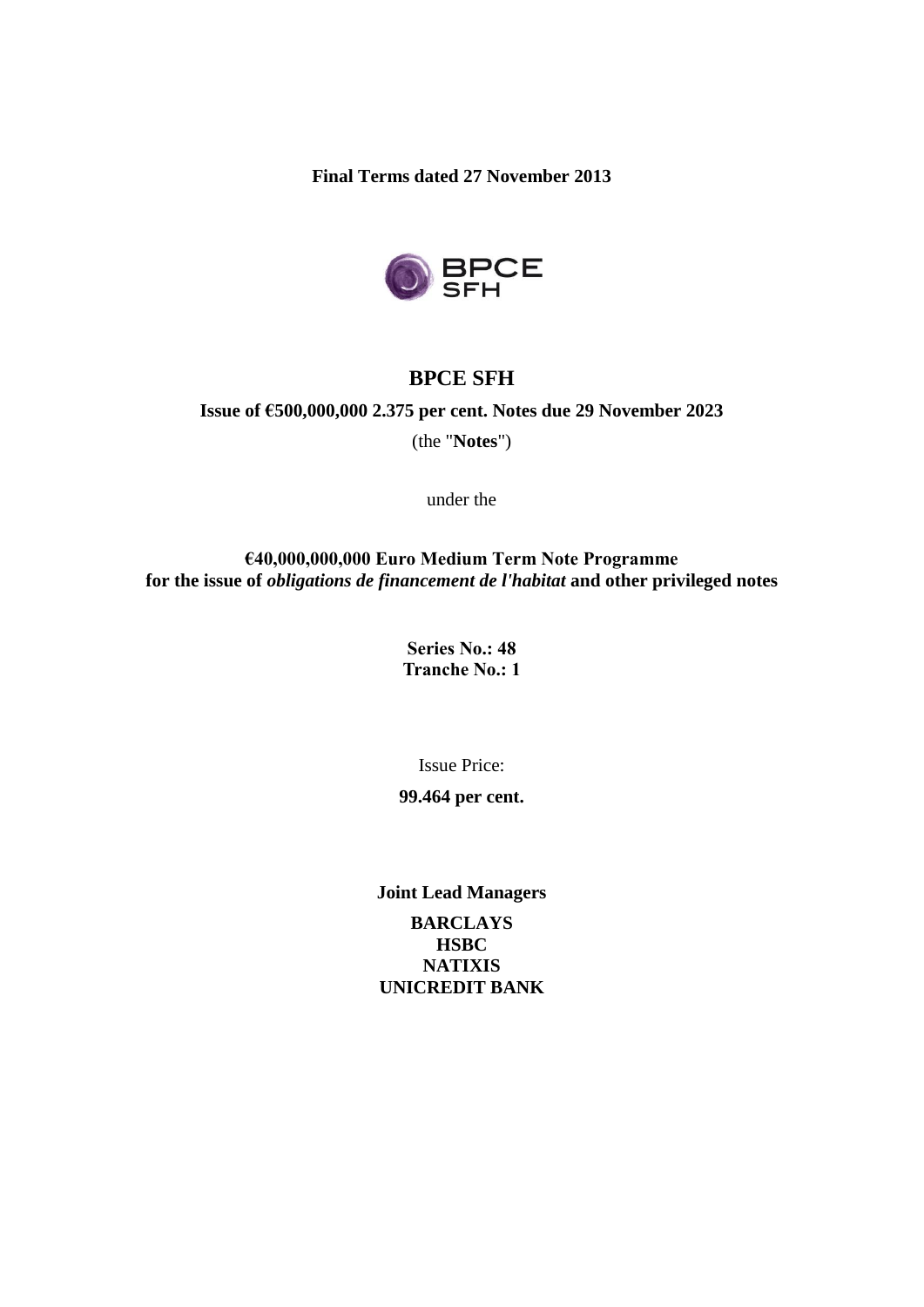**Final Terms dated 27 November 2013**



# **BPCE SFH**

# **Issue of €500,000,000 2.375 per cent. Notes due 29 November 2023**

(the "**Notes**")

under the

**€40,000,000,000 Euro Medium Term Note Programme for the issue of** *obligations de financement de l'habitat* **and other privileged notes**

> **Series No.: 48 Tranche No.: 1**

> > Issue Price:

**99.464 per cent.**

**Joint Lead Managers**

**BARCLAYS HSBC NATIXIS UNICREDIT BANK**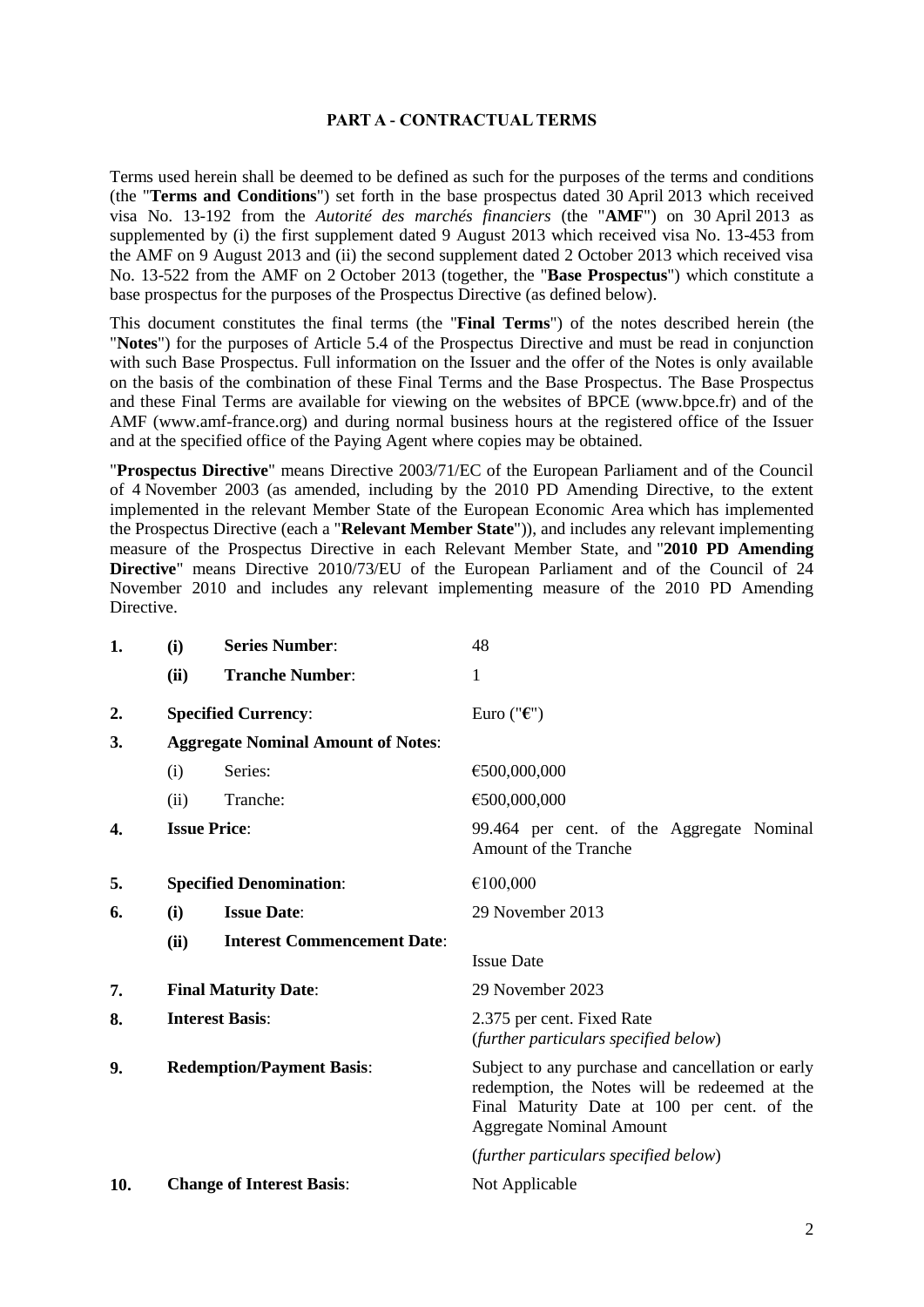#### **PART A - CONTRACTUAL TERMS**

Terms used herein shall be deemed to be defined as such for the purposes of the terms and conditions (the "**Terms and Conditions**") set forth in the base prospectus dated 30 April 2013 which received visa No. 13-192 from the *Autorité des marchés financiers* (the "**AMF**") on 30 April 2013 as supplemented by (i) the first supplement dated 9 August 2013 which received visa No. 13-453 from the AMF on 9 August 2013 and (ii) the second supplement dated 2 October 2013 which received visa No. 13-522 from the AMF on 2 October 2013 (together, the "**Base Prospectus**") which constitute a base prospectus for the purposes of the Prospectus Directive (as defined below).

This document constitutes the final terms (the "**Final Terms**") of the notes described herein (the "**Notes**") for the purposes of Article 5.4 of the Prospectus Directive and must be read in conjunction with such Base Prospectus. Full information on the Issuer and the offer of the Notes is only available on the basis of the combination of these Final Terms and the Base Prospectus. The Base Prospectus and these Final Terms are available for viewing on the websites of BPCE (www.bpce.fr) and of the AMF (www.amf-france.org) and during normal business hours at the registered office of the Issuer and at the specified office of the Paying Agent where copies may be obtained.

"**Prospectus Directive**" means Directive 2003/71/EC of the European Parliament and of the Council of 4 November 2003 (as amended, including by the 2010 PD Amending Directive, to the extent implemented in the relevant Member State of the European Economic Area which has implemented the Prospectus Directive (each a "**Relevant Member State**")), and includes any relevant implementing measure of the Prospectus Directive in each Relevant Member State, and "**2010 PD Amending Directive**" means Directive 2010/73/EU of the European Parliament and of the Council of 24 November 2010 and includes any relevant implementing measure of the 2010 PD Amending Directive.

| 1.  | (i)                                       | <b>Series Number:</b>              | 48                                                                                                                                                                                   |
|-----|-------------------------------------------|------------------------------------|--------------------------------------------------------------------------------------------------------------------------------------------------------------------------------------|
|     | (ii)                                      | <b>Tranche Number:</b>             | 1                                                                                                                                                                                    |
| 2.  |                                           | <b>Specified Currency:</b>         | Euro (" $\epsilon$ ")                                                                                                                                                                |
| 3.  | <b>Aggregate Nominal Amount of Notes:</b> |                                    |                                                                                                                                                                                      |
|     | (i)                                       | Series:                            | €500,000,000                                                                                                                                                                         |
|     | (ii)                                      | Tranche:                           | €500,000,000                                                                                                                                                                         |
| 4.  |                                           | <b>Issue Price:</b>                | 99.464 per cent. of the Aggregate Nominal<br>Amount of the Tranche                                                                                                                   |
| 5.  | <b>Specified Denomination:</b>            |                                    | €100,000                                                                                                                                                                             |
| 6.  | (i)                                       | <b>Issue Date:</b>                 | 29 November 2013                                                                                                                                                                     |
|     | (ii)                                      | <b>Interest Commencement Date:</b> |                                                                                                                                                                                      |
|     |                                           |                                    | <b>Issue Date</b>                                                                                                                                                                    |
| 7.  |                                           | <b>Final Maturity Date:</b>        | 29 November 2023                                                                                                                                                                     |
| 8.  | <b>Interest Basis:</b>                    |                                    | 2.375 per cent. Fixed Rate<br>(further particulars specified below)                                                                                                                  |
| 9.  | <b>Redemption/Payment Basis:</b>          |                                    | Subject to any purchase and cancellation or early<br>redemption, the Notes will be redeemed at the<br>Final Maturity Date at 100 per cent. of the<br><b>Aggregate Nominal Amount</b> |
|     |                                           |                                    | (further particulars specified below)                                                                                                                                                |
| 10. |                                           | <b>Change of Interest Basis:</b>   | Not Applicable                                                                                                                                                                       |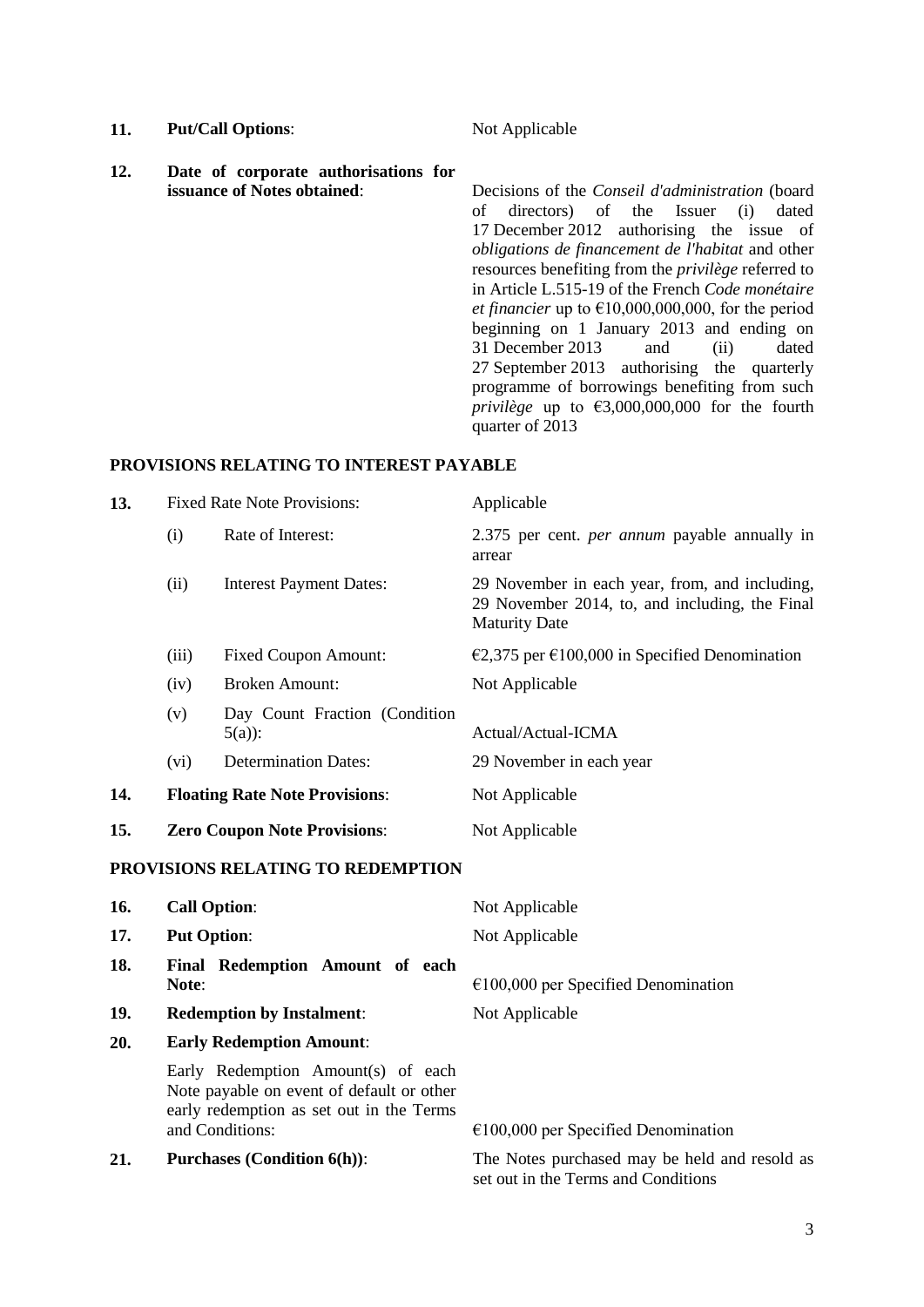- **11. Put/Call Options:** Not Applicable
	-
- **12. Date of corporate authorisations for**

Decisions of the *Conseil d'administration* (board of directors) of the Issuer (i) dated 17 December 2012 authorising the issue of *obligations de financement de l'habitat* and other resources benefiting from the *privilège* referred to in Article L.515-19 of the French *Code monétaire et financier* up to  $\epsilon$ 10,000,000,000, for the period beginning on 1 January 2013 and ending on 31 December 2013 and (ii) dated 27 September 2013 authorising the quarterly programme of borrowings benefiting from such *privilège* up to  $\epsilon$ 3,000,000,000 for the fourth quarter of 2013

### **PROVISIONS RELATING TO INTEREST PAYABLE**

| 13. | <b>Fixed Rate Note Provisions:</b>  |                                                                                                                             | Applicable                                                                                                               |
|-----|-------------------------------------|-----------------------------------------------------------------------------------------------------------------------------|--------------------------------------------------------------------------------------------------------------------------|
|     | (i)                                 | Rate of Interest:                                                                                                           | 2.375 per cent. <i>per annum</i> payable annually in<br>arrear                                                           |
|     | (ii)                                | <b>Interest Payment Dates:</b>                                                                                              | 29 November in each year, from, and including,<br>29 November 2014, to, and including, the Final<br><b>Maturity Date</b> |
|     | (iii)                               | <b>Fixed Coupon Amount:</b>                                                                                                 | €2,375 per €100,000 in Specified Denomination                                                                            |
|     | (iv)                                | <b>Broken Amount:</b>                                                                                                       | Not Applicable                                                                                                           |
|     | (v)                                 | Day Count Fraction (Condition<br>$5(a)$ :                                                                                   | Actual/Actual-ICMA                                                                                                       |
|     | (vi)                                | <b>Determination Dates:</b>                                                                                                 | 29 November in each year                                                                                                 |
| 14. |                                     | <b>Floating Rate Note Provisions:</b>                                                                                       | Not Applicable                                                                                                           |
| 15. | <b>Zero Coupon Note Provisions:</b> |                                                                                                                             | Not Applicable                                                                                                           |
|     |                                     | PROVISIONS RELATING TO REDEMPTION                                                                                           |                                                                                                                          |
| 16. | <b>Call Option:</b>                 |                                                                                                                             | Not Applicable                                                                                                           |
| 17. | <b>Put Option:</b>                  |                                                                                                                             | Not Applicable                                                                                                           |
| 18. | Note:                               | Final Redemption Amount of each                                                                                             | $€100,000$ per Specified Denomination                                                                                    |
| 19. | <b>Redemption by Instalment:</b>    |                                                                                                                             | Not Applicable                                                                                                           |
| 20. |                                     | <b>Early Redemption Amount:</b>                                                                                             |                                                                                                                          |
|     |                                     | Early Redemption Amount(s) of each<br>Note payable on event of default or other<br>early redemption as set out in the Terms |                                                                                                                          |

and Conditions:  $\epsilon$ 100,000 per Specified Denomination

**21. Purchases (Condition 6(h))**: The Notes purchased may be held and resold as set out in the Terms and Conditions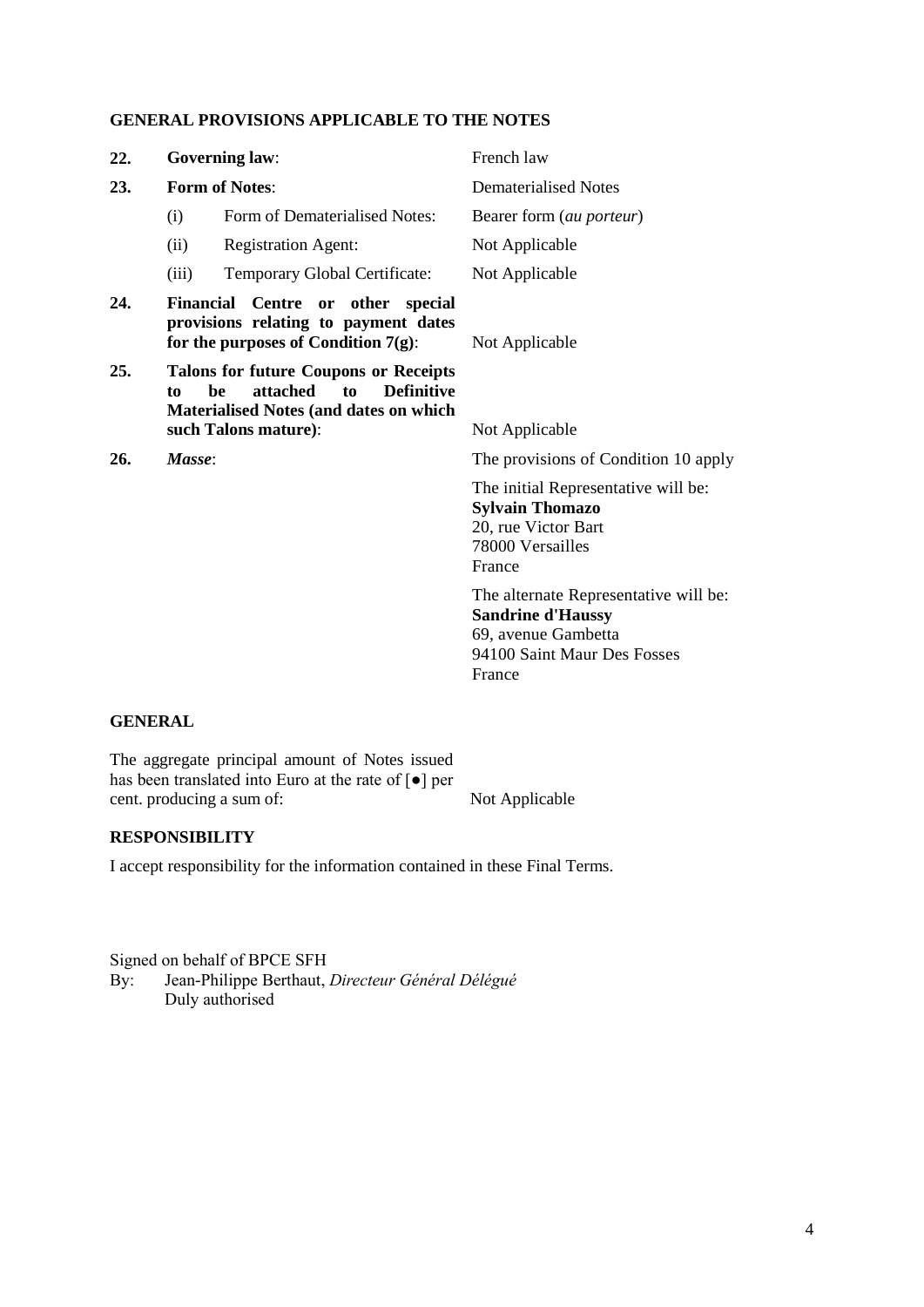### **GENERAL PROVISIONS APPLICABLE TO THE NOTES**

| 22. |                       | <b>Governing law:</b>                                                                                                                                              | French law                                                                                                                        |
|-----|-----------------------|--------------------------------------------------------------------------------------------------------------------------------------------------------------------|-----------------------------------------------------------------------------------------------------------------------------------|
| 23. | <b>Form of Notes:</b> |                                                                                                                                                                    | <b>Dematerialised Notes</b>                                                                                                       |
|     | (i)                   | Form of Dematerialised Notes:                                                                                                                                      | Bearer form (au porteur)                                                                                                          |
|     | (ii)                  | <b>Registration Agent:</b>                                                                                                                                         | Not Applicable                                                                                                                    |
|     | (iii)                 | Temporary Global Certificate:                                                                                                                                      | Not Applicable                                                                                                                    |
| 24. |                       | Financial Centre or other special<br>provisions relating to payment dates<br>for the purposes of Condition $7(g)$ :                                                | Not Applicable                                                                                                                    |
| 25. | to                    | <b>Talons for future Coupons or Receipts</b><br>attached<br><b>Definitive</b><br>to<br>be<br><b>Materialised Notes (and dates on which</b><br>such Talons mature): | Not Applicable                                                                                                                    |
| 26. | Masse:                |                                                                                                                                                                    | The provisions of Condition 10 apply                                                                                              |
|     |                       |                                                                                                                                                                    | The initial Representative will be:<br><b>Sylvain Thomazo</b><br>20, rue Victor Bart<br>78000 Versailles<br>France                |
|     |                       |                                                                                                                                                                    | The alternate Representative will be:<br><b>Sandrine d'Haussy</b><br>69, avenue Gambetta<br>94100 Saint Maur Des Fosses<br>France |

# **GENERAL**

The aggregate principal amount of Notes issued has been translated into Euro at the rate of  $[\bullet]$  per cent. producing a sum of: Not Applicable

### **RESPONSIBILITY**

I accept responsibility for the information contained in these Final Terms.

Signed on behalf of BPCE SFH<br>By: Jean-Philippe Berthaut, By: Jean-Philippe Berthaut, *Directeur Général Délégué* Duly authorised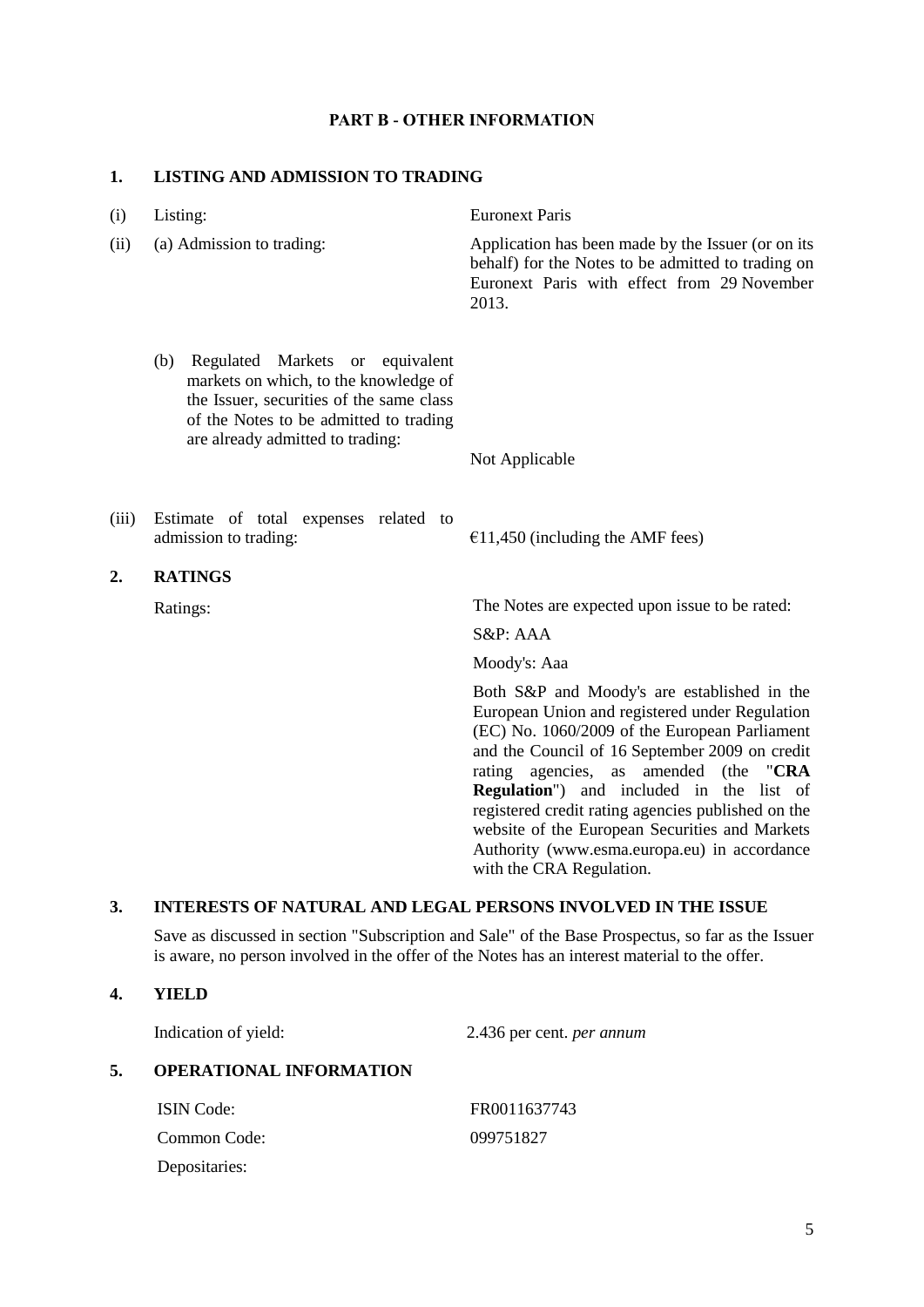### **PART B - OTHER INFORMATION**

### **1. LISTING AND ADMISSION TO TRADING**

| (i)<br>(ii) | Listing:<br>(a) Admission to trading:                                                                                                                                                                     | <b>Euronext Paris</b><br>Application has been made by the Issuer (or on its<br>behalf) for the Notes to be admitted to trading on<br>Euronext Paris with effect from 29 November<br>2013.                                                                                                                                                                                                                                                                                    |
|-------------|-----------------------------------------------------------------------------------------------------------------------------------------------------------------------------------------------------------|------------------------------------------------------------------------------------------------------------------------------------------------------------------------------------------------------------------------------------------------------------------------------------------------------------------------------------------------------------------------------------------------------------------------------------------------------------------------------|
|             | (b)<br>Regulated Markets or equivalent<br>markets on which, to the knowledge of<br>the Issuer, securities of the same class<br>of the Notes to be admitted to trading<br>are already admitted to trading: | Not Applicable                                                                                                                                                                                                                                                                                                                                                                                                                                                               |
| (iii)       | Estimate of total expenses related to<br>admission to trading:                                                                                                                                            | $£11,450$ (including the AMF fees)                                                                                                                                                                                                                                                                                                                                                                                                                                           |
| 2.          | <b>RATINGS</b>                                                                                                                                                                                            |                                                                                                                                                                                                                                                                                                                                                                                                                                                                              |
|             | Ratings:                                                                                                                                                                                                  | The Notes are expected upon issue to be rated:                                                                                                                                                                                                                                                                                                                                                                                                                               |
|             |                                                                                                                                                                                                           | S&P:AAA                                                                                                                                                                                                                                                                                                                                                                                                                                                                      |
|             |                                                                                                                                                                                                           | Moody's: Aaa                                                                                                                                                                                                                                                                                                                                                                                                                                                                 |
|             |                                                                                                                                                                                                           | Both S&P and Moody's are established in the<br>European Union and registered under Regulation<br>(EC) No. 1060/2009 of the European Parliament<br>and the Council of 16 September 2009 on credit<br>rating agencies, as amended (the<br>"CRA<br>Regulation") and included in the list of<br>registered credit rating agencies published on the<br>website of the European Securities and Markets<br>Authority (www.esma.europa.eu) in accordance<br>with the CRA Regulation. |
| 3.          | <b>INTERESTS OF NATURAL AND LEGAL PERSONS INVOLVED IN THE ISSUE</b>                                                                                                                                       |                                                                                                                                                                                                                                                                                                                                                                                                                                                                              |

Save as discussed in section "Subscription and Sale" of the Base Prospectus, so far as the Issuer is aware, no person involved in the offer of the Notes has an interest material to the offer.

### **4. YIELD**

|                                      | Indication of yield: | 2.436 per cent. <i>per annum</i> |  |
|--------------------------------------|----------------------|----------------------------------|--|
| 5.<br><b>OPERATIONAL INFORMATION</b> |                      |                                  |  |
|                                      | <b>ISIN</b> Code:    | FR0011637743                     |  |
|                                      | Common Code:         | 099751827                        |  |
|                                      | Depositaries:        |                                  |  |
|                                      |                      |                                  |  |